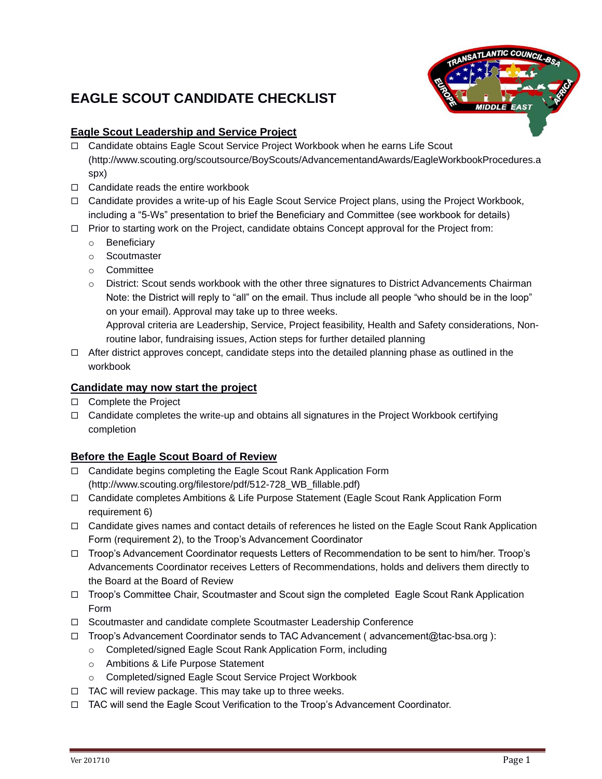# **EAGLE SCOUT CANDIDATE CHECKLIST**



# **Eagle Scout Leadership and Service Project**

- □ Candidate obtains Eagle Scout Service Project Workbook when he earns Life Scout [\(http://www.scouting.org/scoutsource/BoyScouts/AdvancementandAwards/EagleWorkbookProcedures.a](http://www.scouting.org/scoutsource/BoyScouts/AdvancementandAwards/EagleWorkbookProcedures.aspx) [spx\)](http://www.scouting.org/scoutsource/BoyScouts/AdvancementandAwards/EagleWorkbookProcedures.aspx)
- $\Box$  Candidate reads the entire workbook
- $\Box$  Candidate provides a write-up of his Eagle Scout Service Project plans, using the Project Workbook, including a "5-Ws" presentation to brief the Beneficiary and Committee (see workbook for details)
- $\Box$  Prior to starting work on the Project, candidate obtains Concept approval for the Project from:
	- o Beneficiary
	- o Scoutmaster
	- o Committee
	- o District: Scout sends workbook with the other three signatures to District Advancements Chairman Note: the District will reply to "all" on the email. Thus include all people "who should be in the loop" on your email). Approval may take up to three weeks.

Approval criteria are Leadership, Service, Project feasibility, Health and Safety considerations, Nonroutine labor, fundraising issues, Action steps for further detailed planning

 $\Box$  After district approves concept, candidate steps into the detailed planning phase as outlined in the workbook

#### **Candidate may now start the project**

- □ Complete the Project
- $\Box$  Candidate completes the write-up and obtains all signatures in the Project Workbook certifying completion

# **Before the Eagle Scout Board of Review**

- □ Candidate begins completing the Eagle Scout Rank Application Form (http://www.scouting.org/filestore/pdf/512-728\_WB\_fillable.pdf)
- □ Candidate completes Ambitions & Life Purpose Statement (Eagle Scout Rank Application Form requirement 6)
- $\Box$  Candidate gives names and contact details of references he listed on the Eagle Scout Rank Application Form (requirement 2), to the Troop's Advancement Coordinator
- Troop's Advancement Coordinator requests Letters of Recommendation to be sent to him/her. Troop's Advancements Coordinator receives Letters of Recommendations, holds and delivers them directly to the Board at the Board of Review
- □ Troop's Committee Chair, Scoutmaster and Scout sign the completed Eagle Scout Rank Application Form
- □ Scoutmaster and candidate complete Scoutmaster Leadership Conference
- $\Box$  Troop's Advancement Coordinator sends to TAC Advancement (advancement@tac-bsa.org):
	- o Completed/signed Eagle Scout Rank Application Form, including
	- o Ambitions & Life Purpose Statement
	- o Completed/signed Eagle Scout Service Project Workbook
- $\Box$  TAC will review package. This may take up to three weeks.
- TAC will send the Eagle Scout Verification to the Troop's Advancement Coordinator.